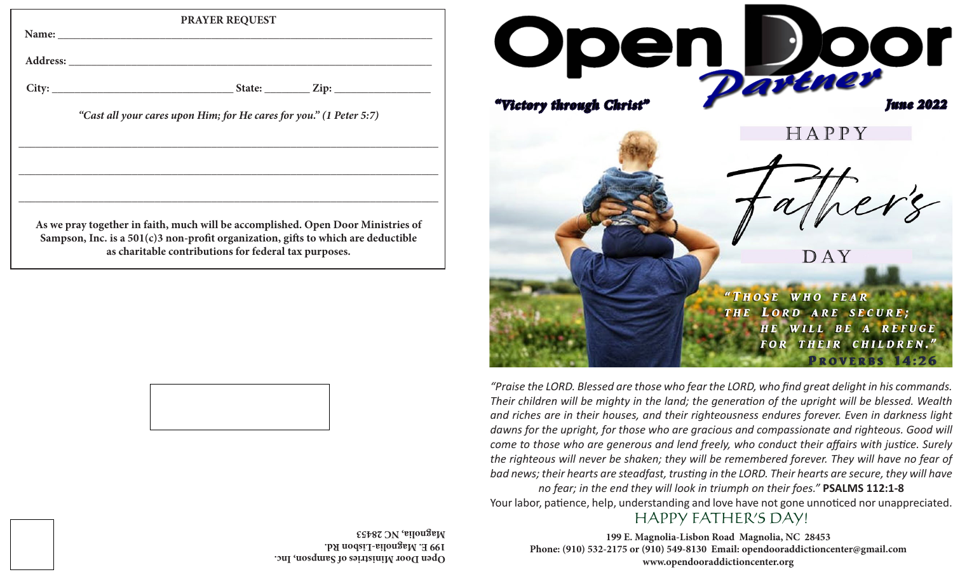|                                                                                                                                            | <b>PRAYER REQUEST</b>                                               |
|--------------------------------------------------------------------------------------------------------------------------------------------|---------------------------------------------------------------------|
|                                                                                                                                            |                                                                     |
|                                                                                                                                            |                                                                     |
|                                                                                                                                            |                                                                     |
|                                                                                                                                            | "Cast all your cares upon Him; for He cares for you." (1 Peter 5:7) |
|                                                                                                                                            |                                                                     |
|                                                                                                                                            |                                                                     |
|                                                                                                                                            |                                                                     |
| As we pray together in faith, much will be accomplished. Open Door Ministries of                                                           |                                                                     |
| Sampson, Inc. is a 501(c)3 non-profit organization, gifts to which are deductible<br>as charitable contributions for federal tax purposes. |                                                                     |
|                                                                                                                                            |                                                                     |



**199 E. Magnolia-Lisbon Rd. Magnolia, NC 28453**



*"Praise the LORD. Blessed are those who fear the LORD, who find great delight in his commands. Their children will be mighty in the land; the generation of the upright will be blessed. Wealth and riches are in their houses, and their righteousness endures forever. Even in darkness light*  dawns for the upright, for those who are gracious and compassionate and righteous. Good will *come to those who are generous and lend freely, who conduct their affairs with justice. Surely the righteous will never be shaken; they will be remembered forever. They will have no fear of bad news; their hearts are steadfast, trusting in the LORD. Their hearts are secure, they will have no fear; in the end they will look in triumph on their foes."* **PSALMS 112:1-8**

Your labor, patience, help, understanding and love have not gone unnoticed nor unappreciated.

## HAPPY FATHER'S DAY!

**199 E. Magnolia-Lisbon Road Magnolia, NC 28453 Phone: (910) 532-2175 or (910) 549-8130 Email: opendooraddictioncenter@gmail.com www.opendooraddictioncenter.org open Books of Algebra Door Ministers of Sampson, Inc.**